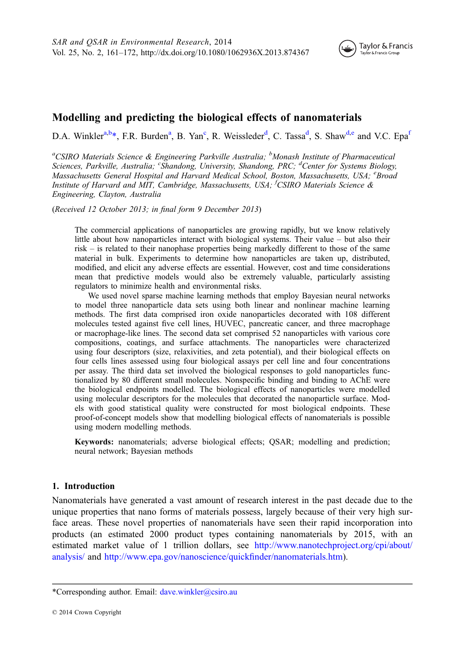

# Modelling and predicting the biological effects of nanomaterials

D.A. Winkler<sup>a,b\*</sup>, F.R. Burden<sup>a</sup>, B. Yan<sup>c</sup>, R. Weissleder<sup>d</sup>, C. Tassa<sup>d</sup>, S. Shaw<sup>d,e</sup> and V.C. Epa<sup>t</sup>

<sup>a</sup>CSIRO Materials Science & Engineering Parkville Australia; <sup>b</sup>Monash Institute of Pharmaceutical Sciences, Parkville, Australia; <sup>c</sup>Shandong, University, Shandong, PRC; <sup>d</sup>Center for Systems Biology, Massachusetts General Hospital and Harvard Medical School, Boston, Massachusetts, USA; <sup>e</sup>Broad Institute of Harvard and MIT, Cambridge, Massachusetts, USA; <sup>f</sup>CSIRO Materials Science & Engineering, Clayton, Australia

(Received 12 October 2013; in final form 9 December 2013)

The commercial applications of nanoparticles are growing rapidly, but we know relatively little about how nanoparticles interact with biological systems. Their value – but also their risk – is related to their nanophase properties being markedly different to those of the same material in bulk. Experiments to determine how nanoparticles are taken up, distributed, modified, and elicit any adverse effects are essential. However, cost and time considerations mean that predictive models would also be extremely valuable, particularly assisting regulators to minimize health and environmental risks.

We used novel sparse machine learning methods that employ Bayesian neural networks to model three nanoparticle data sets using both linear and nonlinear machine learning methods. The first data comprised iron oxide nanoparticles decorated with 108 different molecules tested against five cell lines, HUVEC, pancreatic cancer, and three macrophage or macrophage-like lines. The second data set comprised 52 nanoparticles with various core compositions, coatings, and surface attachments. The nanoparticles were characterized using four descriptors (size, relaxivities, and zeta potential), and their biological effects on four cells lines assessed using four biological assays per cell line and four concentrations per assay. The third data set involved the biological responses to gold nanoparticles functionalized by 80 different small molecules. Nonspecific binding and binding to AChE were the biological endpoints modelled. The biological effects of nanoparticles were modelled using molecular descriptors for the molecules that decorated the nanoparticle surface. Models with good statistical quality were constructed for most biological endpoints. These proof-of-concept models show that modelling biological effects of nanomaterials is possible using modern modelling methods.

Keywords: nanomaterials; adverse biological effects; QSAR; modelling and prediction; neural network; Bayesian methods

## 1. Introduction

Nanomaterials have generated a vast amount of research interest in the past decade due to the unique properties that nano forms of materials possess, largely because of their very high surface areas. These novel properties of nanomaterials have seen their rapid incorporation into products (an estimated 2000 product types containing nanomaterials by 2015, with an estimated market value of 1 trillion dollars, see [http://www.nanotechproject.org/cpi/about/](http://www.nanotechproject.org/cpi/about/analysis/) [analysis/](http://www.nanotechproject.org/cpi/about/analysis/) and [http://www.epa.gov/nanoscience/quick](http://www.epa.gov/nanoscience/quickfinder/nanomaterials.htm)finder/nanomaterials.htm).

<sup>\*</sup>Corresponding author. Email: [dave.winkler@csiro.au](mailto:dave.winkler@csiro.au)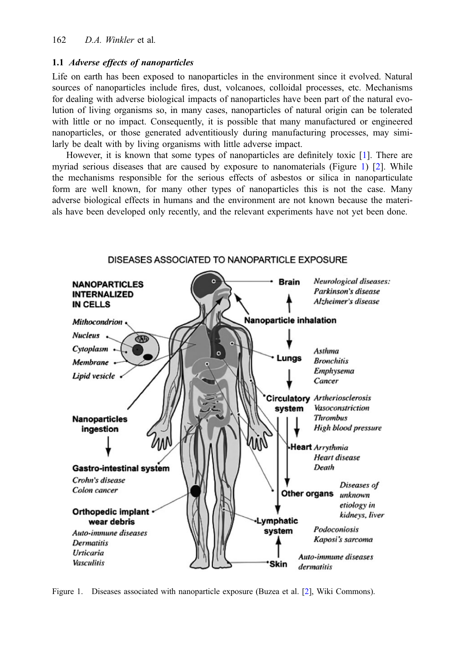# 1.1 Adverse effects of nanoparticles

Life on earth has been exposed to nanoparticles in the environment since it evolved. Natural sources of nanoparticles include fires, dust, volcanoes, colloidal processes, etc. Mechanisms for dealing with adverse biological impacts of nanoparticles have been part of the natural evolution of living organisms so, in many cases, nanoparticles of natural origin can be tolerated with little or no impact. Consequently, it is possible that many manufactured or engineered nanoparticles, or those generated adventitiously during manufacturing processes, may similarly be dealt with by living organisms with little adverse impact.

However, it is known that some types of nanoparticles are definitely toxic [\[1](#page-10-0)]. There are myriad serious diseases that are caused by exposure to nanomaterials (Figure 1) [[2\]](#page-10-0). While the mechanisms responsible for the serious effects of asbestos or silica in nanoparticulate form are well known, for many other types of nanoparticles this is not the case. Many adverse biological effects in humans and the environment are not known because the materials have been developed only recently, and the relevant experiments have not yet been done.



Figure 1. Diseases associated with nanoparticle exposure (Buzea et al. [\[2\]](#page-10-0), Wiki Commons).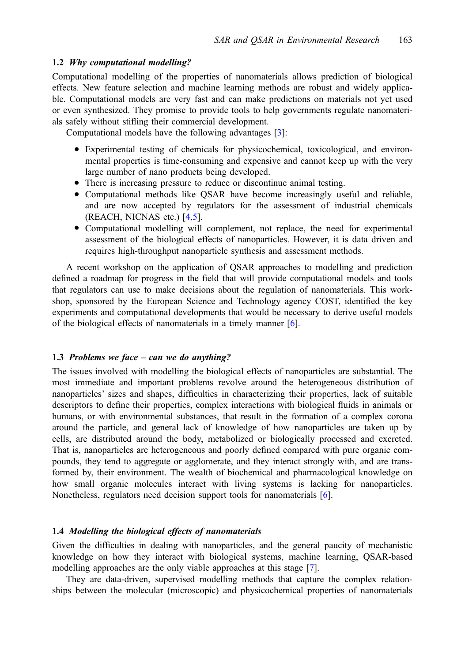# 1.2 Why computational modelling?

Computational modelling of the properties of nanomaterials allows prediction of biological effects. New feature selection and machine learning methods are robust and widely applicable. Computational models are very fast and can make predictions on materials not yet used or even synthesized. They promise to provide tools to help governments regulate nanomaterials safely without stifling their commercial development.

Computational models have the following advantages [\[3](#page-10-0)]:

- Experimental testing of chemicals for physicochemical, toxicological, and environmental properties is time-consuming and expensive and cannot keep up with the very large number of nano products being developed.
- There is increasing pressure to reduce or discontinue animal testing.
- Computational methods like QSAR have become increasingly useful and reliable, and are now accepted by regulators for the assessment of industrial chemicals (REACH, NICNAS etc.) [[4,5](#page-10-0)].
- Computational modelling will complement, not replace, the need for experimental assessment of the biological effects of nanoparticles. However, it is data driven and requires high-throughput nanoparticle synthesis and assessment methods.

A recent workshop on the application of QSAR approaches to modelling and prediction defined a roadmap for progress in the field that will provide computational models and tools that regulators can use to make decisions about the regulation of nanomaterials. This workshop, sponsored by the European Science and Technology agency COST, identified the key experiments and computational developments that would be necessary to derive useful models of the biological effects of nanomaterials in a timely manner [[6\]](#page-10-0).

## 1.3 Problems we face – can we do anything?

The issues involved with modelling the biological effects of nanoparticles are substantial. The most immediate and important problems revolve around the heterogeneous distribution of nanoparticles' sizes and shapes, difficulties in characterizing their properties, lack of suitable descriptors to define their properties, complex interactions with biological fluids in animals or humans, or with environmental substances, that result in the formation of a complex corona around the particle, and general lack of knowledge of how nanoparticles are taken up by cells, are distributed around the body, metabolized or biologically processed and excreted. That is, nanoparticles are heterogeneous and poorly defined compared with pure organic compounds, they tend to aggregate or agglomerate, and they interact strongly with, and are transformed by, their environment. The wealth of biochemical and pharmacological knowledge on how small organic molecules interact with living systems is lacking for nanoparticles. Nonetheless, regulators need decision support tools for nanomaterials [[6\]](#page-10-0).

## 1.4 Modelling the biological effects of nanomaterials

Given the difficulties in dealing with nanoparticles, and the general paucity of mechanistic knowledge on how they interact with biological systems, machine learning, QSAR-based modelling approaches are the only viable approaches at this stage [\[7](#page-10-0)].

They are data-driven, supervised modelling methods that capture the complex relationships between the molecular (microscopic) and physicochemical properties of nanomaterials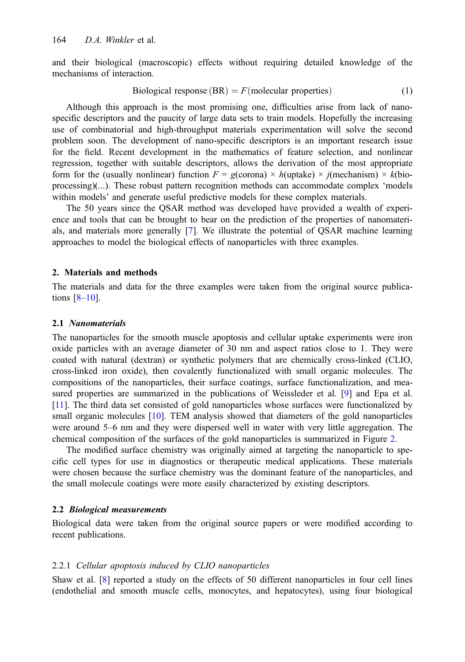and their biological (macroscopic) effects without requiring detailed knowledge of the mechanisms of interaction.

$$
Biological response (BR) = F (molecular properties)
$$
 (1)

Although this approach is the most promising one, difficulties arise from lack of nanospecific descriptors and the paucity of large data sets to train models. Hopefully the increasing use of combinatorial and high-throughput materials experimentation will solve the second problem soon. The development of nano-specific descriptors is an important research issue for the field. Recent development in the mathematics of feature selection, and nonlinear regression, together with suitable descriptors, allows the derivation of the most appropriate form for the (usually nonlinear) function  $F = g$ (corona) × h(uptake) × j(mechanism) × k(bioprocessing)(...). These robust pattern recognition methods can accommodate complex 'models within models' and generate useful predictive models for these complex materials.

The 50 years since the QSAR method was developed have provided a wealth of experience and tools that can be brought to bear on the prediction of the properties of nanomaterials, and materials more generally [[7\]](#page-10-0). We illustrate the potential of QSAR machine learning approaches to model the biological effects of nanoparticles with three examples.

## 2. Materials and methods

The materials and data for the three examples were taken from the original source publications  $[8-10]$  $[8-10]$  $[8-10]$  $[8-10]$ .

#### 2.1 Nanomaterials

The nanoparticles for the smooth muscle apoptosis and cellular uptake experiments were iron oxide particles with an average diameter of 30 nm and aspect ratios close to 1. They were coated with natural (dextran) or synthetic polymers that are chemically cross-linked (CLIO, cross-linked iron oxide), then covalently functionalized with small organic molecules. The compositions of the nanoparticles, their surface coatings, surface functionalization, and measured properties are summarized in the publications of Weissleder et al. [\[9](#page-10-0)] and Epa et al. [[11](#page-10-0)]. The third data set consisted of gold nanoparticles whose surfaces were functionalized by small organic molecules [[10\]](#page-10-0). TEM analysis showed that diameters of the gold nanoparticles were around 5–6 nm and they were dispersed well in water with very little aggregation. The chemical composition of the surfaces of the gold nanoparticles is summarized in Figure [2](#page-4-0).

The modified surface chemistry was originally aimed at targeting the nanoparticle to specific cell types for use in diagnostics or therapeutic medical applications. These materials were chosen because the surface chemistry was the dominant feature of the nanoparticles, and the small molecule coatings were more easily characterized by existing descriptors.

## 2.2 Biological measurements

Biological data were taken from the original source papers or were modified according to recent publications.

## 2.2.1 Cellular apoptosis induced by CLIO nanoparticles

Shaw et al. [[8\]](#page-10-0) reported a study on the effects of 50 different nanoparticles in four cell lines (endothelial and smooth muscle cells, monocytes, and hepatocytes), using four biological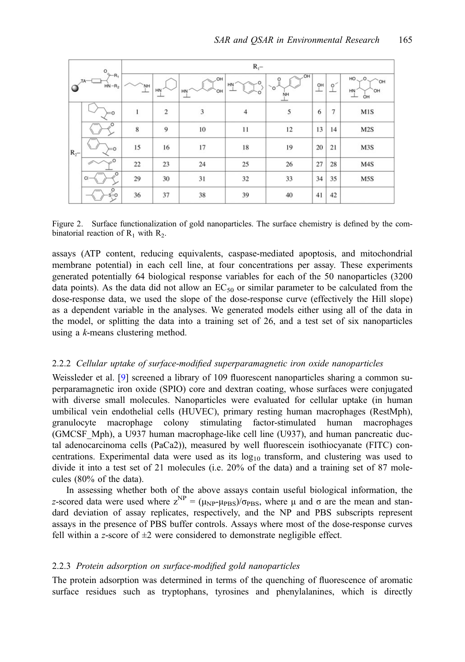<span id="page-4-0"></span>

|                                                                                                  |                                           | $R_1-$   |                         |                         |                |                               |         |              |                                                             |  |
|--------------------------------------------------------------------------------------------------|-------------------------------------------|----------|-------------------------|-------------------------|----------------|-------------------------------|---------|--------------|-------------------------------------------------------------|--|
| $\circ_{\mathrel{\mathop{\longleftarrow}\limits_{\scriptscriptstyle\searrow}} R_1}$<br>$HN - R2$ |                                           | ,ŃH<br>ᅩ | HN<br>$\frac{1}{2}$     | _OH<br>OH<br>HN<br>سلسا | HN             | OH<br>$\circ$<br>O<br>ŅH<br>ᅩ | OH<br>ᅩ | $\circ$<br>ᅩ | HO.<br>$\circ$<br><b>HO</b><br>HN<br>`OH<br>OH<br>andone of |  |
| $R_2$ -                                                                                          | $= 0$                                     | l        | $\overline{\mathbf{c}}$ | 3                       | $\overline{4}$ | 5                             | 6       | 7            | M1S                                                         |  |
|                                                                                                  | $\circ$                                   | 8        | $\overline{9}$          | 10                      | 11             | 12                            | 13      | 14           | M2S                                                         |  |
|                                                                                                  | $= 0$                                     | 15       | 16                      | 17                      | 18             | 19                            | 20      | 21           | M3S                                                         |  |
|                                                                                                  | $\sim$ O                                  | 22       | 23                      | 24                      | 25             | 26                            | 27      | 28           | M4S                                                         |  |
|                                                                                                  | $\circ$<br>$Cl -$                         | 29       | 30                      | 31                      | 32             | 33                            | 34      | 35           | M5S                                                         |  |
|                                                                                                  | $\begin{matrix} 0 \\ 0 \\ 0 \end{matrix}$ | 36       | 37                      | 38                      | 39             | 40                            | 41      | 42           |                                                             |  |

Figure 2. Surface functionalization of gold nanoparticles. The surface chemistry is defined by the combinatorial reaction of  $R_1$  with  $R_2$ .

assays (ATP content, reducing equivalents, caspase-mediated apoptosis, and mitochondrial membrane potential) in each cell line, at four concentrations per assay. These experiments generated potentially 64 biological response variables for each of the 50 nanoparticles (3200 data points). As the data did not allow an  $EC_{50}$  or similar parameter to be calculated from the dose-response data, we used the slope of the dose-response curve (effectively the Hill slope) as a dependent variable in the analyses. We generated models either using all of the data in the model, or splitting the data into a training set of 26, and a test set of six nanoparticles using a k-means clustering method.

## 2.2.2 Cellular uptake of surface-modified superparamagnetic iron oxide nanoparticles

Weissleder et al. [\[9](#page-10-0)] screened a library of 109 fluorescent nanoparticles sharing a common superparamagnetic iron oxide (SPIO) core and dextran coating, whose surfaces were conjugated with diverse small molecules. Nanoparticles were evaluated for cellular uptake (in human umbilical vein endothelial cells (HUVEC), primary resting human macrophages (RestMph), granulocyte macrophage colony stimulating factor-stimulated human macrophages (GMCSF\_Mph), a U937 human macrophage-like cell line (U937), and human pancreatic ductal adenocarcinoma cells (PaCa2)), measured by well fluorescein isothiocyanate (FITC) concentrations. Experimental data were used as its  $log_{10}$  transform, and clustering was used to divide it into a test set of 21 molecules (i.e. 20% of the data) and a training set of 87 molecules (80% of the data).

In assessing whether both of the above assays contain useful biological information, the z-scored data were used where  $z^{NP} = (\mu_{NP} - \mu_{PBS})/\sigma_{PBS}$ , where  $\mu$  and  $\sigma$  are the mean and standard deviation of assay replicates, respectively, and the NP and PBS subscripts represent assays in the presence of PBS buffer controls. Assays where most of the dose-response curves fell within a z-score of  $\pm 2$  were considered to demonstrate negligible effect.

# 2.2.3 Protein adsorption on surface-modified gold nanoparticles

The protein adsorption was determined in terms of the quenching of fluorescence of aromatic surface residues such as tryptophans, tyrosines and phenylalanines, which is directly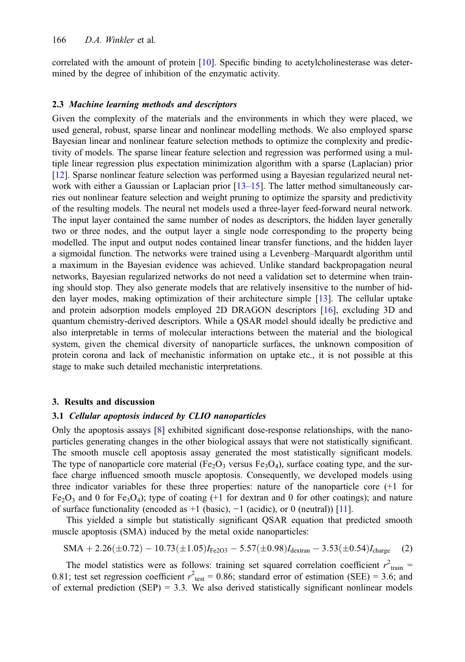correlated with the amount of protein [\[10](#page-10-0)]. Specific binding to acetylcholinesterase was determined by the degree of inhibition of the enzymatic activity.

#### 2.3 Machine learning methods and descriptors

Given the complexity of the materials and the environments in which they were placed, we used general, robust, sparse linear and nonlinear modelling methods. We also employed sparse Bayesian linear and nonlinear feature selection methods to optimize the complexity and predictivity of models. The sparse linear feature selection and regression was performed using a multiple linear regression plus expectation minimization algorithm with a sparse (Laplacian) prior [[12\]](#page-10-0). Sparse nonlinear feature selection was performed using a Bayesian regularized neural network with either a Gaussian or Laplacian prior  $[13-15]$  $[13-15]$  $[13-15]$  $[13-15]$ . The latter method simultaneously carries out nonlinear feature selection and weight pruning to optimize the sparsity and predictivity of the resulting models. The neural net models used a three-layer feed-forward neural network. The input layer contained the same number of nodes as descriptors, the hidden layer generally two or three nodes, and the output layer a single node corresponding to the property being modelled. The input and output nodes contained linear transfer functions, and the hidden layer a sigmoidal function. The networks were trained using a Levenberg–Marquardt algorithm until a maximum in the Bayesian evidence was achieved. Unlike standard backpropagation neural networks, Bayesian regularized networks do not need a validation set to determine when training should stop. They also generate models that are relatively insensitive to the number of hidden layer modes, making optimization of their architecture simple [\[13](#page-10-0)]. The cellular uptake and protein adsorption models employed 2D DRAGON descriptors [\[16](#page-11-0)], excluding 3D and quantum chemistry-derived descriptors. While a QSAR model should ideally be predictive and also interpretable in terms of molecular interactions between the material and the biological system, given the chemical diversity of nanoparticle surfaces, the unknown composition of protein corona and lack of mechanistic information on uptake etc., it is not possible at this stage to make such detailed mechanistic interpretations.

#### 3. Results and discussion

#### 3.1 Cellular apoptosis induced by CLIO nanoparticles

Only the apoptosis assays [[8\]](#page-10-0) exhibited significant dose-response relationships, with the nanoparticles generating changes in the other biological assays that were not statistically significant. The smooth muscle cell apoptosis assay generated the most statistically significant models. The type of nanoparticle core material (Fe<sub>2</sub>O<sub>3</sub> versus Fe<sub>3</sub>O<sub>4</sub>), surface coating type, and the surface charge influenced smooth muscle apoptosis. Consequently, we developed models using three indicator variables for these three properties: nature of the nanoparticle core (+1 for  $Fe<sub>2</sub>O<sub>3</sub>$  and 0 for Fe<sub>3</sub>O<sub>4</sub>); type of coating (+1 for dextran and 0 for other coatings); and nature of surface functionality (encoded as  $+1$  (basic),  $-1$  (acidic), or 0 (neutral)) [[11](#page-10-0)].

This yielded a simple but statistically significant QSAR equation that predicted smooth muscle apoptosis (SMA) induced by the metal oxide nanoparticles:

$$
SMA + 2.26(\pm 0.72) - 10.73(\pm 1.05)I_{Fe2O3} - 5.57(\pm 0.98)I_{\text{dextran}} - 3.53(\pm 0.54)I_{\text{charge}} \tag{2}
$$

The model statistics were as follows: training set squared correlation coefficient  $r^2_{\text{train}} =$ 0.81; test set regression coefficient  $r^2$ <sub>test</sub> = 0.86; standard error of estimation (SEE) = 3.6; and of external prediction  $(SEP) = 3.3$ . We also derived statistically significant nonlinear models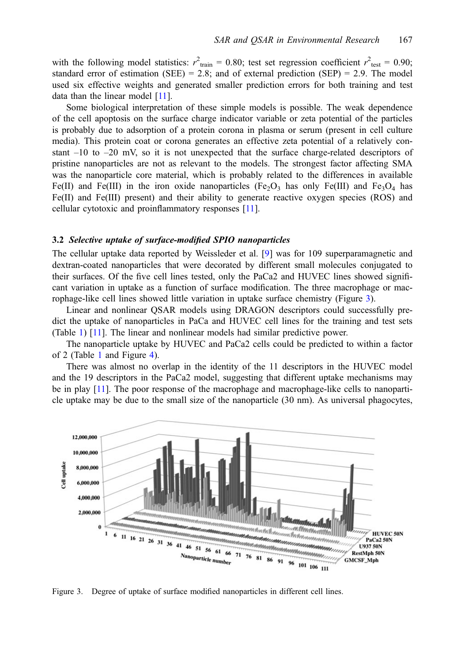with the following model statistics:  $r^2_{\text{train}} = 0.80$ ; test set regression coefficient  $r^2_{\text{test}} = 0.90$ ; standard error of estimation (SEE) = 2.8; and of external prediction (SEP) = 2.9. The model used six effective weights and generated smaller prediction errors for both training and test data than the linear model [[11](#page-10-0)].

Some biological interpretation of these simple models is possible. The weak dependence of the cell apoptosis on the surface charge indicator variable or zeta potential of the particles is probably due to adsorption of a protein corona in plasma or serum (present in cell culture media). This protein coat or corona generates an effective zeta potential of a relatively constant  $-10$  to  $-20$  mV, so it is not unexpected that the surface charge-related descriptors of pristine nanoparticles are not as relevant to the models. The strongest factor affecting SMA was the nanoparticle core material, which is probably related to the differences in available Fe(II) and Fe(III) in the iron oxide nanoparticles (Fe<sub>2</sub>O<sub>3</sub> has only Fe(III) and Fe<sub>3</sub>O<sub>4</sub> has Fe(II) and Fe(III) present) and their ability to generate reactive oxygen species (ROS) and cellular cytotoxic and proinflammatory responses [[11](#page-10-0)].

#### 3.2 Selective uptake of surface-modified SPIO nanoparticles

The cellular uptake data reported by Weissleder et al. [\[9](#page-10-0)] was for 109 superparamagnetic and dextran-coated nanoparticles that were decorated by different small molecules conjugated to their surfaces. Of the five cell lines tested, only the PaCa2 and HUVEC lines showed significant variation in uptake as a function of surface modification. The three macrophage or macrophage-like cell lines showed little variation in uptake surface chemistry (Figure 3).

Linear and nonlinear QSAR models using DRAGON descriptors could successfully predict the uptake of nanoparticles in PaCa and HUVEC cell lines for the training and test sets (Table [1\)](#page-7-0) [\[11](#page-10-0)]. The linear and nonlinear models had similar predictive power.

The nanoparticle uptake by HUVEC and PaCa2 cells could be predicted to within a factor of 2 (Table [1](#page-7-0) and Figure [4\)](#page-7-0).

There was almost no overlap in the identity of the 11 descriptors in the HUVEC model and the 19 descriptors in the PaCa2 model, suggesting that different uptake mechanisms may be in play [[11](#page-10-0)]. The poor response of the macrophage and macrophage-like cells to nanoparticle uptake may be due to the small size of the nanoparticle (30 nm). As universal phagocytes,



Figure 3. Degree of uptake of surface modified nanoparticles in different cell lines.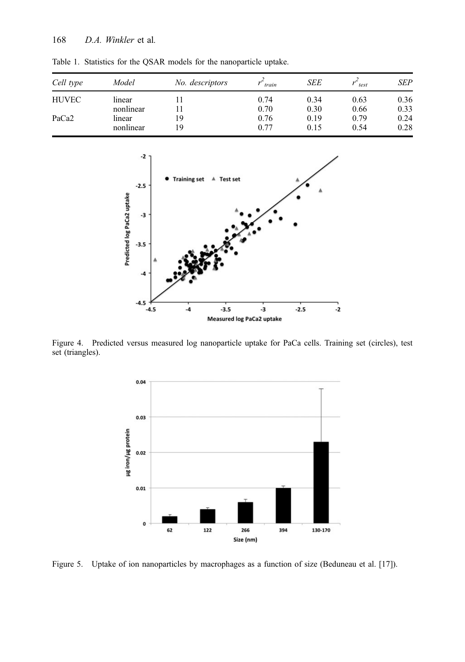| Cell type    | Model     | No. descriptors | train | <b>SEE</b> | test | SEP  |
|--------------|-----------|-----------------|-------|------------|------|------|
| <b>HUVEC</b> | linear    |                 | 0.74  | 0.34       | 0.63 | 0.36 |
|              | nonlinear |                 | 0.70  | 0.30       | 0.66 | 0.33 |
| PaCa2        | linear    | 19              | 0.76  | 0.19       | 0.79 | 0.24 |
|              | nonlinear | 19              | 0.77  | 0.15       | 0.54 | 0.28 |

<span id="page-7-0"></span>Table 1. Statistics for the QSAR models for the nanoparticle uptake.



Figure 4. Predicted versus measured log nanoparticle uptake for PaCa cells. Training set (circles), test set (triangles).



Figure 5. Uptake of ion nanoparticles by macrophages as a function of size (Beduneau et al. [17]).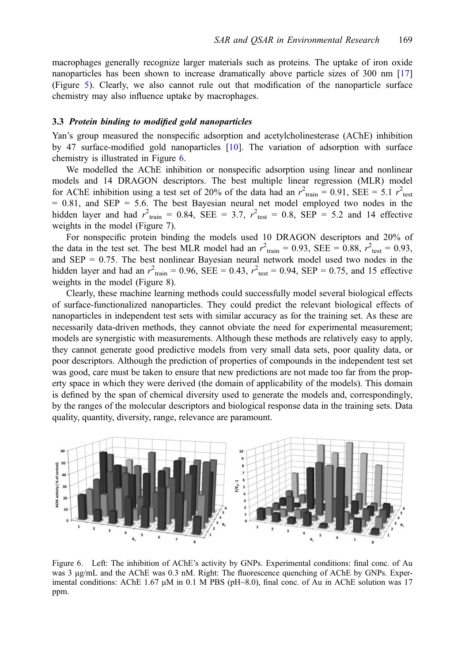macrophages generally recognize larger materials such as proteins. The uptake of iron oxide nanoparticles has been shown to increase dramatically above particle sizes of 300 nm [[17\]](#page-11-0) (Figure [5\)](#page-7-0). Clearly, we also cannot rule out that modification of the nanoparticle surface chemistry may also influence uptake by macrophages.

#### 3.3 Protein binding to modified gold nanoparticles

Yan's group measured the nonspecific adsorption and acetylcholinesterase (AChE) inhibition by 47 surface-modified gold nanoparticles [[10\]](#page-10-0). The variation of adsorption with surface chemistry is illustrated in Figure 6.

We modelled the AChE inhibition or nonspecific adsorption using linear and nonlinear models and 14 DRAGON descriptors. The best multiple linear regression (MLR) model for AChE inhibition using a test set of 20% of the data had an  $r^2_{\text{train}} = 0.91$ , SEE = 5.1  $r^2_{\text{test}}$  $= 0.81$ , and SEP  $= 5.6$ . The best Bayesian neural net model employed two nodes in the hidden layer and had  $r^2_{\text{train}} = 0.84$ , SEE = 3.7,  $r^2_{\text{test}} = 0.8$ , SEP = 5.2 and 14 effective weights in the model (Figure 7).

For nonspecific protein binding the models used 10 DRAGON descriptors and 20% of the data in the test set. The best MLR model had an  $r^2_{\text{train}} = 0.93$ , SEE = 0.88,  $r^2_{\text{test}} = 0.93$ , and  $SEP = 0.75$ . The best nonlinear Bayesian neural network model used two nodes in the hidden layer and had an  $r_{\text{train}}^2 = 0.96$ , SEE = 0.43,  $r_{\text{test}}^2 = 0.94$ , SEP = 0.75, and 15 effective weights in the model (Figure 8).

Clearly, these machine learning methods could successfully model several biological effects of surface-functionalized nanoparticles. They could predict the relevant biological effects of nanoparticles in independent test sets with similar accuracy as for the training set. As these are necessarily data-driven methods, they cannot obviate the need for experimental measurement; models are synergistic with measurements. Although these methods are relatively easy to apply, they cannot generate good predictive models from very small data sets, poor quality data, or poor descriptors. Although the prediction of properties of compounds in the independent test set was good, care must be taken to ensure that new predictions are not made too far from the property space in which they were derived (the domain of applicability of the models). This domain is defined by the span of chemical diversity used to generate the models and, correspondingly, by the ranges of the molecular descriptors and biological response data in the training sets. Data quality, quantity, diversity, range, relevance are paramount.



Figure 6. Left: The inhibition of AChE's activity by GNPs. Experimental conditions: final conc. of Au was 3 μg/mL and the AChE was 0.3 nM. Right: The fluorescence quenching of AChE by GNPs. Experimental conditions: AChE 1.67  $\mu$ M in 0.1 M PBS (pH~8.0), final conc. of Au in AChE solution was 17 ppm.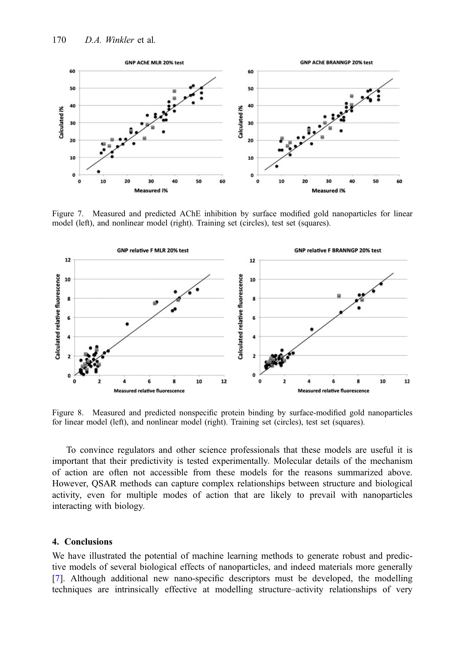

Figure 7. Measured and predicted AChE inhibition by surface modified gold nanoparticles for linear model (left), and nonlinear model (right). Training set (circles), test set (squares).



Figure 8. Measured and predicted nonspecific protein binding by surface-modified gold nanoparticles for linear model (left), and nonlinear model (right). Training set (circles), test set (squares).

To convince regulators and other science professionals that these models are useful it is important that their predictivity is tested experimentally. Molecular details of the mechanism of action are often not accessible from these models for the reasons summarized above. However, QSAR methods can capture complex relationships between structure and biological activity, even for multiple modes of action that are likely to prevail with nanoparticles interacting with biology.

# 4. Conclusions

We have illustrated the potential of machine learning methods to generate robust and predictive models of several biological effects of nanoparticles, and indeed materials more generally [[7\]](#page-10-0). Although additional new nano-specific descriptors must be developed, the modelling techniques are intrinsically effective at modelling structure–activity relationships of very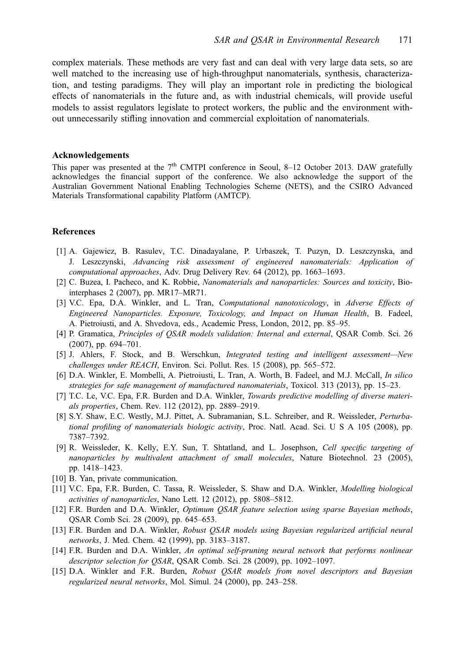<span id="page-10-0"></span>complex materials. These methods are very fast and can deal with very large data sets, so are well matched to the increasing use of high-throughput nanomaterials, synthesis, characterization, and testing paradigms. They will play an important role in predicting the biological effects of nanomaterials in the future and, as with industrial chemicals, will provide useful models to assist regulators legislate to protect workers, the public and the environment without unnecessarily stifling innovation and commercial exploitation of nanomaterials.

#### Acknowledgements

This paper was presented at the  $7<sup>th</sup>$  CMTPI conference in Seoul, 8–12 October 2013. DAW gratefully acknowledges the financial support of the conference. We also acknowledge the support of the Australian Government National Enabling Technologies Scheme (NETS), and the CSIRO Advanced Materials Transformational capability Platform (AMTCP).

# References

- [1] A. Gajewicz, B. Rasulev, T.C. Dinadayalane, P. Urbaszek, T. Puzyn, D. Leszczynska, and J. Leszczynski, Advancing risk assessment of engineered nanomaterials: Application of computational approaches, Adv. Drug Delivery Rev. 64 (2012), pp. 1663–1693.
- [2] C. Buzea, I. Pacheco, and K. Robbie, Nanomaterials and nanoparticles: Sources and toxicity, Biointerphases 2 (2007), pp. MR17–MR71.
- [3] V.C. Epa, D.A. Winkler, and L. Tran, Computational nanotoxicology, in Adverse Effects of Engineered Nanoparticles. Exposure, Toxicology, and Impact on Human Health, B. Fadeel, A. Pietroiusti, and A. Shvedova, eds., Academic Press, London, 2012, pp. 85–95.
- [4] P. Gramatica, Principles of QSAR models validation: Internal and external, QSAR Comb. Sci. 26 (2007), pp. 694–701.
- [5] J. Ahlers, F. Stock, and B. Werschkun, Integrated testing and intelligent assessment—New challenges under REACH, Environ. Sci. Pollut. Res. 15 (2008), pp. 565–572.
- [6] D.A. Winkler, E. Mombelli, A. Pietroiusti, L. Tran, A. Worth, B. Fadeel, and M.J. McCall, In silico strategies for safe management of manufactured nanomaterials, Toxicol. 313 (2013), pp. 15–23.
- [7] T.C. Le, V.C. Epa, F.R. Burden and D.A. Winkler, *Towards predictive modelling of diverse materi*als properties, Chem. Rev. 112 (2012), pp. 2889–2919.
- [8] S.Y. Shaw, E.C. Westly, M.J. Pittet, A. Subramanian, S.L. Schreiber, and R. Weissleder, *Perturba*tional profiling of nanomaterials biologic activity, Proc. Natl. Acad. Sci. U S A 105 (2008), pp. 7387–7392.
- [9] R. Weissleder, K. Kelly, E.Y. Sun, T. Shtatland, and L. Josephson, Cell specific targeting of nanoparticles by multivalent attachment of small molecules, Nature Biotechnol. 23 (2005), pp. 1418–1423.
- [10] B. Yan, private communication.
- [11] V.C. Epa, F.R. Burden, C. Tassa, R. Weissleder, S. Shaw and D.A. Winkler, *Modelling biological* activities of nanoparticles, Nano Lett. 12 (2012), pp. 5808–5812.
- [12] F.R. Burden and D.A. Winkler, *Optimum OSAR feature selection using sparse Bayesian methods*, QSAR Comb Sci. 28 (2009), pp. 645–653.
- [13] F.R. Burden and D.A. Winkler, Robust QSAR models using Bayesian regularized artificial neural networks, J. Med. Chem. 42 (1999), pp. 3183–3187.
- [14] F.R. Burden and D.A. Winkler, An optimal self-pruning neural network that performs nonlinear descriptor selection for QSAR, QSAR Comb. Sci. 28 (2009), pp. 1092-1097.
- [15] D.A. Winkler and F.R. Burden, Robust QSAR models from novel descriptors and Bayesian regularized neural networks, Mol. Simul. 24 (2000), pp. 243–258.